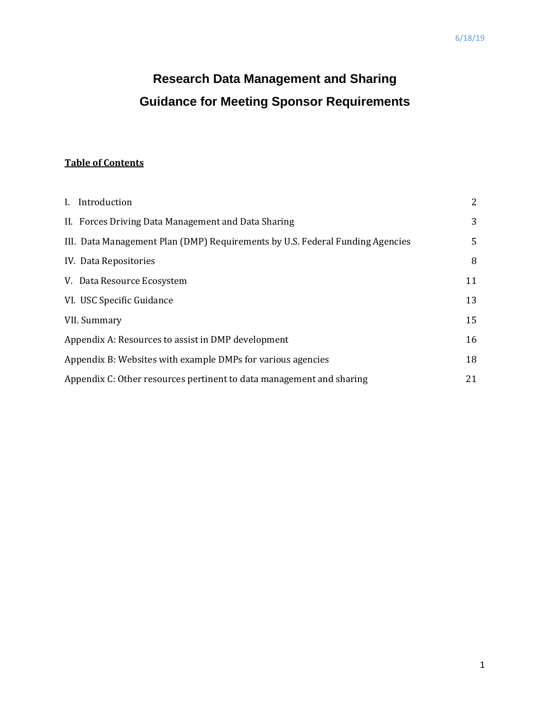# **Research Data Management and Sharing Guidance for Meeting Sponsor Requirements**

### **Table of Contents**

| I. Introduction                                                               | 2  |
|-------------------------------------------------------------------------------|----|
| II. Forces Driving Data Management and Data Sharing                           | 3  |
| III. Data Management Plan (DMP) Requirements by U.S. Federal Funding Agencies | 5  |
| IV. Data Repositories                                                         | 8  |
| V. Data Resource Ecosystem                                                    | 11 |
| VI. USC Specific Guidance                                                     | 13 |
| VII. Summary                                                                  | 15 |
| Appendix A: Resources to assist in DMP development                            | 16 |
| Appendix B: Websites with example DMPs for various agencies                   | 18 |
| Appendix C: Other resources pertinent to data management and sharing          | 21 |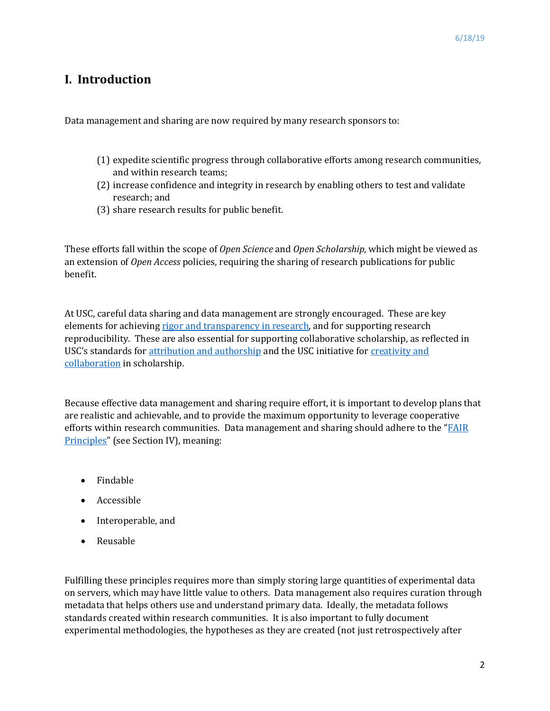# **I. Introduction**

Data management and sharing are now required by many research sponsors to:

- (1) expedite scientific progress through collaborative efforts among research communities, and within research teams;
- (2) increase confidence and integrity in research by enabling others to test and validate research; and
- (3) share research results for public benefit.

These efforts fall within the scope of *Open Science* and *Open Scholarship,* which might be viewed as an extension of *Open Access* policies, requiring the sharing of research publications for public benefit.

At USC, careful data sharing and data management are strongly encouraged. These are key elements for achievin[g rigor and transparency in research,](https://research.usc.edu/rigor-transparency-and-reproducibility/) and for supporting research reproducibility. These are also essential for supporting collaborative scholarship, as reflected in USC's standards fo[r attribution and authorship](https://academicsenate.usc.edu/files/2015/08/URC-on-Authorship-and-Attribution.pdf) and the USC initiative for [creativity and](https://research.usc.edu/for-investigators/creativity-and-collaboration-in-the-academy/)  [collaboration](https://research.usc.edu/for-investigators/creativity-and-collaboration-in-the-academy/) in scholarship.

Because effective data management and sharing require effort, it is important to develop plans that are realistic and achievable, and to provide the maximum opportunity to leverage cooperative efforts within research communities. Data management and sharing should adhere to the "FAIR" [Principles"](https://www.force11.org/fairprinciples) (see Section IV), meaning:

- Findable
- Accessible
- Interoperable, and
- Reusable

Fulfilling these principles requires more than simply storing large quantities of experimental data on servers, which may have little value to others. Data management also requires curation through metadata that helps others use and understand primary data. Ideally, the metadata follows standards created within research communities. It is also important to fully document experimental methodologies, the hypotheses as they are created (not just retrospectively after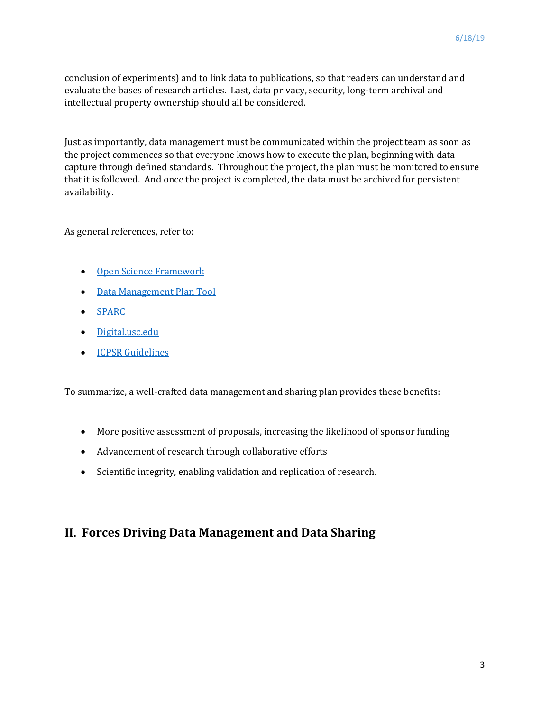conclusion of experiments) and to link data to publications, so that readers can understand and evaluate the bases of research articles. Last, data privacy, security, long-term archival and intellectual property ownership should all be considered.

Just as importantly, data management must be communicated within the project team as soon as the project commences so that everyone knows how to execute the plan, beginning with data capture through defined standards. Throughout the project, the plan must be monitored to ensure that it is followed. And once the project is completed, the data must be archived for persistent availability.

As general references, refer to:

- [Open Science Framework](http://help.osf.io/m/bestpractices/l/618674-creating-a-data-management-plan-dmp)
- [Data Management Plan Tool](https://dmptool.org/)
- [SPARC](https://sparcopen.org/)
- Digital.usc.edu
- [ICPSR Guidelines](https://www.icpsr.umich.edu/icpsrweb/content/deposit/guide/)

To summarize, a well-crafted data management and sharing plan provides these benefits:

- More positive assessment of proposals, increasing the likelihood of sponsor funding
- Advancement of research through collaborative efforts
- Scientific integrity, enabling validation and replication of research.

# **II. Forces Driving Data Management and Data Sharing**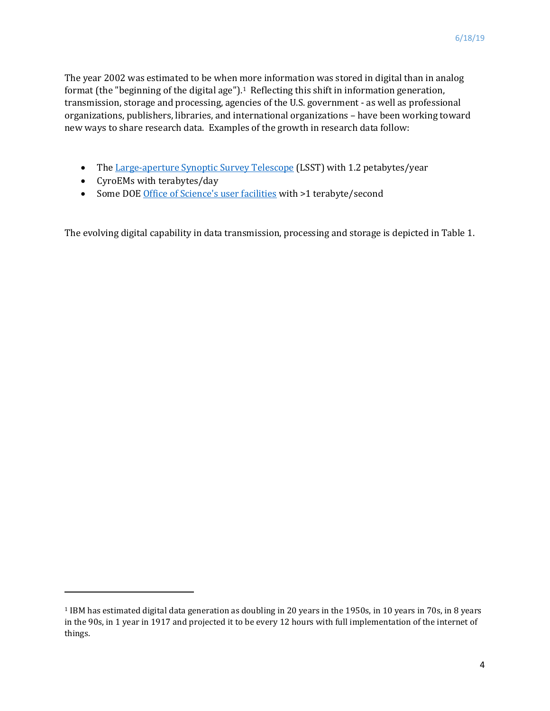The year 2002 was estimated to be when more information was stored in digital than in analog format (the "beginning of the digital age").<sup>1</sup> Reflecting this shift in information generation, transmission, storage and processing, agencies of the U.S. government - as well as professional organizations, publishers, libraries, and international organizations – have been working toward new ways to share research data. Examples of the growth in research data follow:

- Th[e Large-aperture Synoptic Survey Telescope](https://en.wikipedia.org/wiki/Large_Synoptic_Survey_Telescope) (LSST) with 1.2 petabytes/year
- CyroEMs with terabytes/day

 $\overline{a}$ 

• Some DOE Office of Science['s user facilities](https://science.energy.gov/news/featured-articles/2017/08-16-17/) with >1 terabyte/second

The evolving digital capability in data transmission, processing and storage is depicted in Table 1.

<span id="page-3-0"></span><sup>1</sup> IBM has estimated digital data generation as doubling in 20 years in the 1950s, in 10 years in 70s, in 8 years in the 90s, in 1 year in 1917 and projected it to be every 12 hours with full implementation of the internet of things.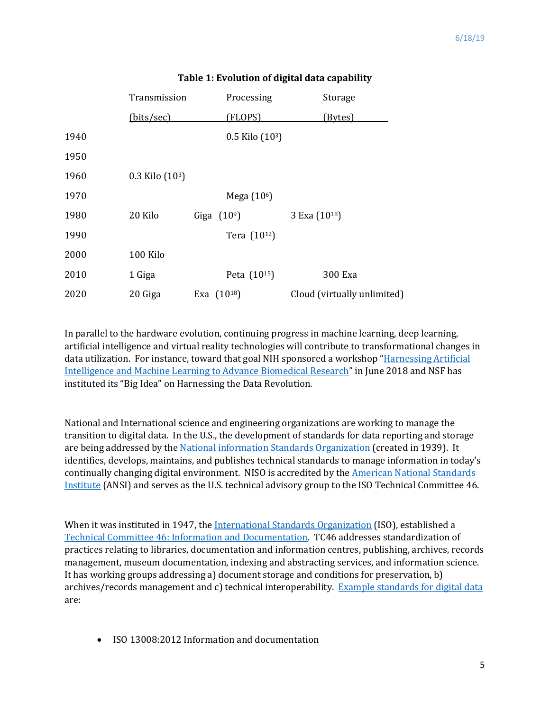|      | Transmission        |  | Processing              | Storage                     |
|------|---------------------|--|-------------------------|-----------------------------|
|      | (bits/sec)          |  | (FLOPS)                 | (Bytes)                     |
| 1940 |                     |  | $0.5$ Kilo $(103)$      |                             |
| 1950 |                     |  |                         |                             |
| 1960 | $0.3$ Kilo $(10^3)$ |  |                         |                             |
| 1970 |                     |  | Mega (10 <sup>6</sup> ) |                             |
| 1980 | 20 Kilo             |  | Giga $(10^9)$           | 3 Exa (10 <sup>18</sup> )   |
| 1990 |                     |  | Tera (1012)             |                             |
| 2000 | 100 Kilo            |  |                         |                             |
| 2010 | 1 Giga              |  | Peta (1015)             | 300 Exa                     |
| 2020 | 20 Giga             |  | Exa $(10^{18})$         | Cloud (virtually unlimited) |

#### **Table 1: Evolution of digital data capability**

In parallel to the hardware evolution, continuing progress in machine learning, deep learning, artificial intelligence and virtual reality technologies will contribute to transformational changes in data utilization. For instance, toward that goal NIH sponsored a workshop ["Harnessing Artificial](https://datascience.nih.gov/news/nih-workshop-harnessing-artificial-intelligence-and-machine-learning-advance-biomedical)  [Intelligence and Machine Learning to Advance Biomedical Research"](https://datascience.nih.gov/news/nih-workshop-harnessing-artificial-intelligence-and-machine-learning-advance-biomedical) in June 2018 and NSF has instituted its "Big Idea" on Harnessing the Data Revolution.

National and International science and engineering organizations are working to manage the transition to digital data. In the U.S., the development of standards for data reporting and storage are being addressed by th[e National information Standards Organization](https://www.niso.org/) (created in 1939). It identifies, develops, maintains, and publishes technical standards to manage information in today's continually changing digital environment. NISO is accredited by the [American National Standards](https://webstore.ansi.org/?source=msn&adgroup=ansi_standards&msclkid=fdc50cc59d361ee65057504f0f18705b&utm_source=bing&utm_medium=cpc&utm_campaign=ANSI%20Standards&utm_term=ANSI&utm_content=ANSI%20Standards)  [Institute](https://webstore.ansi.org/?source=msn&adgroup=ansi_standards&msclkid=fdc50cc59d361ee65057504f0f18705b&utm_source=bing&utm_medium=cpc&utm_campaign=ANSI%20Standards&utm_term=ANSI&utm_content=ANSI%20Standards) (ANSI) and serves as the U.S. technical advisory group to the ISO Technical Committee 46.

When it was instituted in 1947, the [International Standards Organization](https://www.iso.org/home.html) (ISO), established a [Technical Committee 46: Information and Documentation.](https://www.iso.org/committee/48750.html) TC46 addresses standardization of practices relating to libraries, documentation and information centres, publishing, archives, records management, museum documentation, indexing and abstracting services, and information science. It has working groups addressing a) document storage and conditions for preservation, b) archives/records management and c) technical interoperability. [Example standards](https://www.iso.org/committee/48856/x/catalogue/) for digital data are:

• ISO 13008:2012 Information and documentation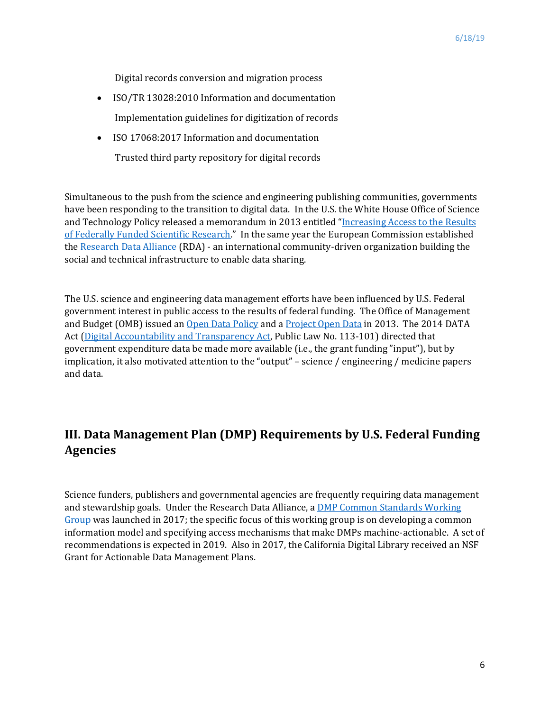Digital records conversion and migration process

- ISO/TR 13028:2010 Information and documentation Implementation guidelines for digitization of records
- ISO 17068:2017 Information and documentation Trusted third party repository for digital records

Simultaneous to the push from the science and engineering publishing communities, governments have been responding to the transition to digital data. In the U.S. the White House Office of Science and Technology Policy released a memorandum in 2013 entitled "Increasing Access to the Results [of Federally Funded Scientific Research.](https://r.search.yahoo.com/_ylt=AwrUi6bLhopcOCIAMgcPxQt.;_ylu=X3oDMTByb2lvbXVuBGNvbG8DZ3ExBHBvcwMxBHZ0aWQDBHNlYwNzcg--/RV=2/RE=1552611148/RO=10/RU=https%3a%2f%2fobamawhitehouse.archives.gov%2fblog%2f2016%2f02%2f22%2fincreasing-access-results-federally-funded-science/RK=2/RS=EHc0oQN.ov7PWv7lMWo6cbwP5gk-)" In the same year the European Commission established th[e Research Data Alliance](https://www.rd-alliance.org/groups/dmp-common-standards-wg) (RDA) - an international community-driven organization building the social and technical infrastructure to enable data sharing.

The U.S. science and engineering data management efforts have been influenced by U.S. Federal government interest in public access to the results of federal funding. The Office of Management and Budget (OMB) issued an [Open Data Policy](https://obamawhitehouse.archives.gov/the-press-office/2013/05/09/executive-order-making-open-and-machine-readable-new-default-government-) and a [Project Open Data](https://project-open-data.cio.gov/) in 2013. The 2014 DATA Act [\(Digital Accountability and Transparency Act,](https://www.datacoalition.org/issues/data-act/) Public Law No. 113-101) directed that government expenditure data be made more available (i.e., the grant funding "input"), but by implication, it also motivated attention to the "output" – science / engineering / medicine papers and data.

# **III. Data Management Plan (DMP) Requirements by U.S. Federal Funding Agencies**

Science funders, publishers and governmental agencies are frequently requiring data management and stewardship goals. Under the Research Data Alliance, a [DMP Common Standards Working](https://www.rd-alliance.org/groups/dmp-common-standards-wg)  [Group](https://www.rd-alliance.org/groups/dmp-common-standards-wg) was launched in 2017; the specific focus of this working group is on developing a common information model and specifying access mechanisms that make DMPs machine-actionable. A set of recommendations is expected in 2019. Also in 2017, the California Digital Library received an NSF Grant for Actionable Data Management Plans.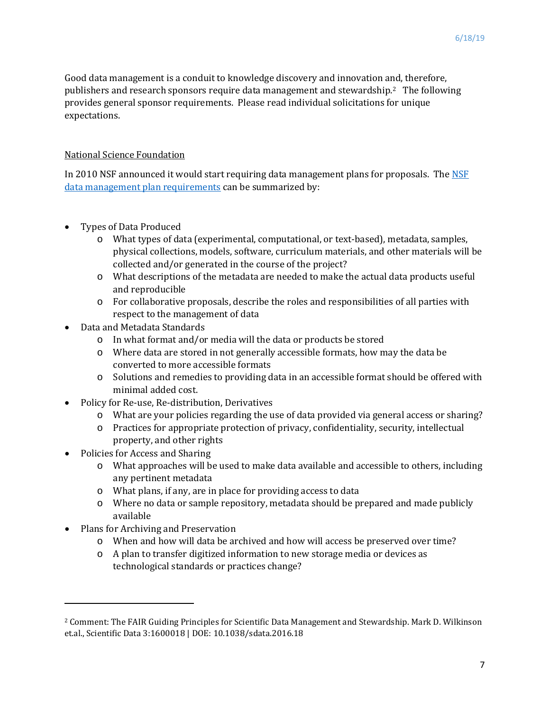Good data management is a conduit to knowledge discovery and innovation and, therefore, publishers and research sponsors require data management and stewardship.[2](#page-6-0) The following provides general sponsor requirements. Please read individual solicitations for unique expectations.

#### National Science Foundation

In 2010 [NSF](https://www.nsf.gov/bfa/dias/policy/dmp.jsp) announced it would start requiring data management plans for proposals. The NSF [data management plan requirements](https://www.nsf.gov/bfa/dias/policy/dmp.jsp) can be summarized by:

- Types of Data Produced
	- o What types of data (experimental, computational, or text-based), metadata, samples, physical collections, models, software, curriculum materials, and other materials will be collected and/or generated in the course of the project?
	- o What descriptions of the metadata are needed to make the actual data products useful and reproducible
	- o For collaborative proposals, describe the roles and responsibilities of all parties with respect to the management of data
- Data and Metadata Standards
	- o In what format and/or media will the data or products be stored
	- o Where data are stored in not generally accessible formats, how may the data be converted to more accessible formats
	- o Solutions and remedies to providing data in an accessible format should be offered with minimal added cost.
- Policy for Re-use, Re-distribution, Derivatives
	- o What are your policies regarding the use of data provided via general access or sharing?
	- o Practices for appropriate protection of privacy, confidentiality, security, intellectual property, and other rights
- Policies for Access and Sharing
	- o What approaches will be used to make data available and accessible to others, including any pertinent metadata
	- o What plans, if any, are in place for providing access to data
	- o Where no data or sample repository, metadata should be prepared and made publicly available
- Plans for Archiving and Preservation

 $\overline{\phantom{a}}$ 

- o When and how will data be archived and how will access be preserved over time?
- o A plan to transfer digitized information to new storage media or devices as technological standards or practices change?

<span id="page-6-0"></span><sup>2</sup> Comment: The FAIR Guiding Principles for Scientific Data Management and Stewardship. Mark D. Wilkinson et.al., Scientific Data 3:1600018 | DOE: 10.1038/sdata.2016.18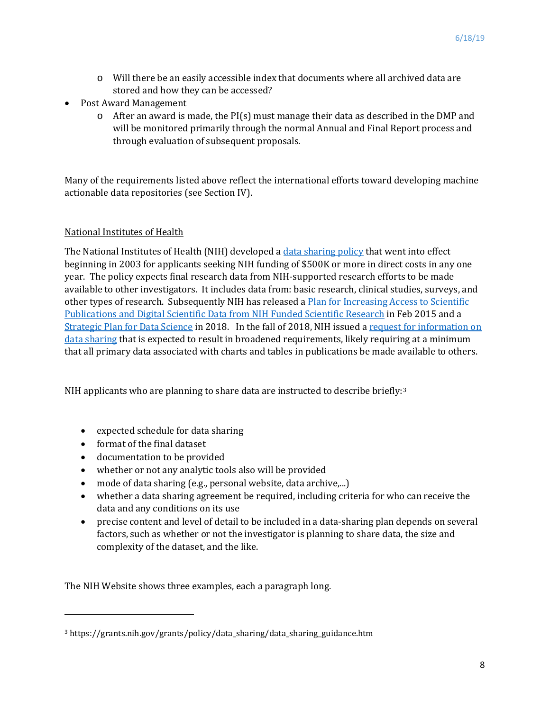- o Will there be an easily accessible index that documents where all archived data are stored and how they can be accessed?
- Post Award Management
	- $\circ$  After an award is made, the PI(s) must manage their data as described in the DMP and will be monitored primarily through the normal Annual and Final Report process and through evaluation of subsequent proposals.

Many of the requirements listed above reflect the international efforts toward developing machine actionable data repositories (see Section IV).

#### National Institutes of Health

The National Institutes of Health (NIH) developed [a data sharing policy](https://grants.nih.gov/grants/policy/data_sharing/) that went into effect beginning in 2003 for applicants seeking NIH funding of \$500K or more in direct costs in any one year. The policy expects final research data from NIH-supported research efforts to be made available to other investigators. It includes data from: basic research, clinical studies, surveys, and other types of research. Subsequently NIH has released a [Plan for Increasing Access to Scientific](https://grants.nih.gov/policy/sharing.htm)  Publications and Digital [Scientific Data from NIH Funded Scientific Research](https://grants.nih.gov/policy/sharing.htm) in Feb 2015 and a [Strategic Plan for Data Science](https://datascience.nih.gov/strategicplan) in 2018.In the fall of 2018, NIH issued a [request for information on](https://grants.nih.gov/grants/guide/notice-files/NOT-OD-19-014.html)  [data sharing](https://grants.nih.gov/grants/guide/notice-files/NOT-OD-19-014.html) that is expected to result in broadened requirements, likely requiring at a minimum that all primary data associated with charts and tables in publications be made available to others.

NIH applicants who are planning to share data are instructed to describe briefly:[3](#page-7-0)

- expected schedule for data sharing
- format of the final dataset

l

- documentation to be provided
- whether or not any analytic tools also will be provided
- mode of data sharing (e.g., personal website, data archive,...)
- whether a data sharing agreement be required, including criteria for who can receive the data and any conditions on its use
- precise content and level of detail to be included in a data-sharing plan depends on several factors, such as whether or not the investigator is planning to share data, the size and complexity of the dataset, and the like.

The NIH Website shows three examples, each a paragraph long.

<span id="page-7-0"></span><sup>3</sup> https://grants.nih.gov/grants/policy/data\_sharing/data\_sharing\_guidance.htm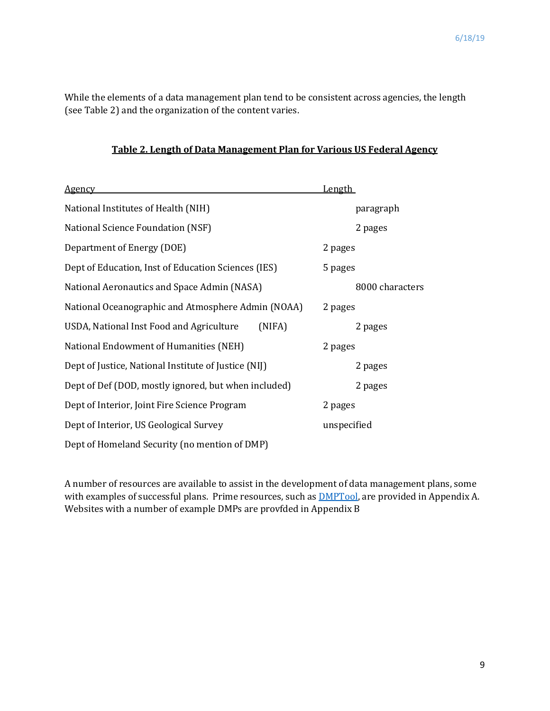While the elements of a data management plan tend to be consistent across agencies, the length (see Table 2) and the organization of the content varies.

| Table 2. Length of Data Management Plan for Various US Federal Agency |
|-----------------------------------------------------------------------|
|-----------------------------------------------------------------------|

| <b>Agency</b>                                        | Length          |
|------------------------------------------------------|-----------------|
| National Institutes of Health (NIH)                  | paragraph       |
| National Science Foundation (NSF)                    | 2 pages         |
| Department of Energy (DOE)                           | 2 pages         |
| Dept of Education, Inst of Education Sciences (IES)  | 5 pages         |
| National Aeronautics and Space Admin (NASA)          | 8000 characters |
| National Oceanographic and Atmosphere Admin (NOAA)   | 2 pages         |
| USDA, National Inst Food and Agriculture<br>(NIFA)   | 2 pages         |
| National Endowment of Humanities (NEH)               | 2 pages         |
| Dept of Justice, National Institute of Justice (NIJ) | 2 pages         |
| Dept of Def (DOD, mostly ignored, but when included) | 2 pages         |
| Dept of Interior, Joint Fire Science Program         | 2 pages         |
| Dept of Interior, US Geological Survey               | unspecified     |
| Dept of Homeland Security (no mention of DMP)        |                 |

A number of resources are available to assist in the development of data management plans, some with examples of successful plans. Prime resources, such as **DMPTool**, are provided in Appendix A. Websites with a number of example DMPs are provfded in Appendix B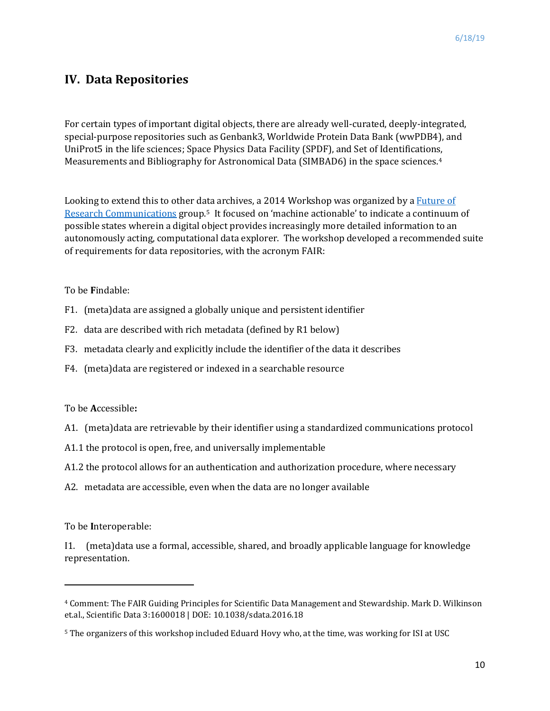# **IV. Data Repositories**

For certain types of important digital objects, there are already well-curated, deeply-integrated, special-purpose repositories such as Genbank3, Worldwide Protein Data Bank (wwPDB4), and UniProt5 in the life sciences; Space Physics Data Facility (SPDF), and Set of Identifications, Measurements and Bibliography for Astronomical Data (SIMBAD6) in the space sciences.[4](#page-9-0)

Looking to extend this to other d[ata](#page-9-1) archives, a 2014 Workshop was organized by a Future of [Research Communications](https://www.force11.org/about) group.5 It focused on 'machine actionable' to indicate a continuum of possible states wherein a digital object provides increasingly more detailed information to an autonomously acting, computational data explorer. The workshop developed a recommended suite of requirements for data repositories, with the acronym FAIR:

To be **F**indable:

- F1. (meta)data are assigned a globally unique and persistent identifier
- F2. data are described with rich metadata (defined by R1 below)
- F3. metadata clearly and explicitly include the identifier of the data it describes
- F4. (meta)data are registered or indexed in a searchable resource

#### To be **A**ccessible**:**

- A1. (meta)data are retrievable by their identifier using a standardized communications protocol
- A1.1 the protocol is open, free, and universally implementable
- A1.2 the protocol allows for an authentication and authorization procedure, where necessary
- A2. metadata are accessible, even when the data are no longer available

To be **I**nteroperable:

 $\overline{\phantom{a}}$ 

I1. (meta)data use a formal, accessible, shared, and broadly applicable language for knowledge representation.

<span id="page-9-0"></span><sup>4</sup> Comment: The FAIR Guiding Principles for Scientific Data Management and Stewardship. Mark D. Wilkinson et.al., Scientific Data 3:1600018 | DOE: 10.1038/sdata.2016.18

<span id="page-9-1"></span><sup>5</sup> The organizers of this workshop included Eduard Hovy who, at the time, was working for ISI at USC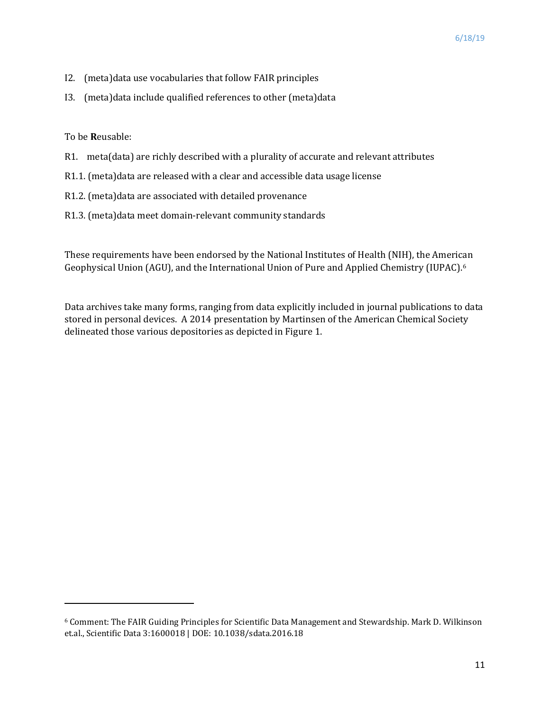- I2. (meta)data use vocabularies that follow FAIR principles
- I3. (meta)data include qualified references to other (meta)data

To be **R**eusable:

 $\overline{\phantom{a}}$ 

- R1. meta(data) are richly described with a plurality of accurate and relevant attributes
- R1.1. (meta)data are released with a clear and accessible data usage license
- R1.2. (meta)data are associated with detailed provenance
- R1.3. (meta)data meet domain-relevant community standards

These requirements have been endorsed by the National Institutes of Health (NIH), the American Geophysical Union (AGU), and the International Union of Pure and Applied Chemistry (IUPAC).[6](#page-10-0)

Data archives take many forms, ranging from data explicitly included in journal publications to data stored in personal devices. A 2014 presentation by Martinsen of the American Chemical Society delineated those various depositories as depicted in Figure 1.

<span id="page-10-0"></span><sup>6</sup> Comment: The FAIR Guiding Principles for Scientific Data Management and Stewardship. Mark D. Wilkinson et.al., Scientific Data 3:1600018 | DOE: 10.1038/sdata.2016.18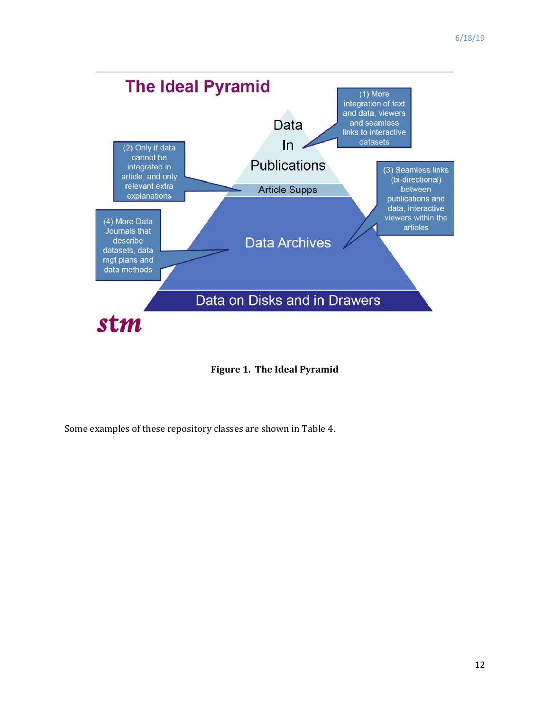

**Figure 1. The Ideal Pyramid**

Some examples of these repository classes are shown in Table 4.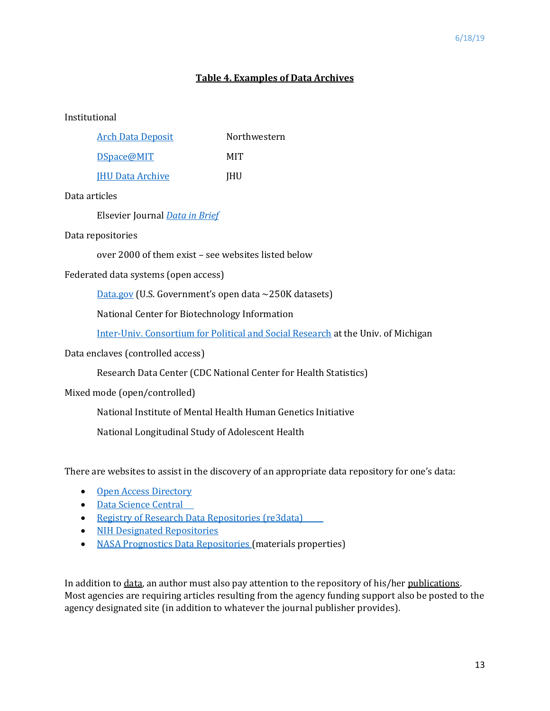### **Table 4. Examples of Data Archives**

#### Institutional

| <b>Arch Data Deposit</b> | Northwestern |  |
|--------------------------|--------------|--|
| DSpace@MIT               | MIT          |  |
| <b>IHU Data Archive</b>  | <b>IHU</b>   |  |

#### Data articles

Elsevier Journal *[Data in Brief](https://www.journals.elsevier.com/data-in-brief/)*

#### Data repositories

over 2000 of them exist – see websites listed below

Federated data systems (open access)

[Data.gov](https://catalog.data.gov/dataset) (U.S. Government's open data ~250K datasets)

National Center for Biotechnology Information

Inter-Univ. [Consortium for Political and Social Research](https://www.icpsr.umich.edu/icpsrweb/) at the Univ. of Michigan

Data enclaves (controlled access)

Research Data Center (CDC National Center for Health Statistics)

Mixed mode (open/controlled)

National Institute of Mental Health Human Genetics Initiative

National Longitudinal Study of Adolescent Health

There are websites to assist in the discovery of an appropriate data repository for one's data:

- Open Access Directory
- [Data Science Central](https://www.datasciencecentral.com/profiles/blogs/20-free-big-data-sources-everyone-should-check-out)
- [Registry of Research Data Repositories \(re3data\)](https://www.re3data.org/)
- [NIH Designated Repositories](https://www.nlm.nih.gov/NIHbmic/nih_data_sharing_repositories.html)
- [NASA Prognostics Data Repositories](https://ti.arc.nasa.gov/tech/dash/groups/pcoe/prognostic-data-repository/) (materials properties)

In addition to data, an author must also pay attention to the repository of his/her publications. Most agencies are requiring articles resulting from the agency funding support also be posted to the agency designated site (in addition to whatever the journal publisher provides).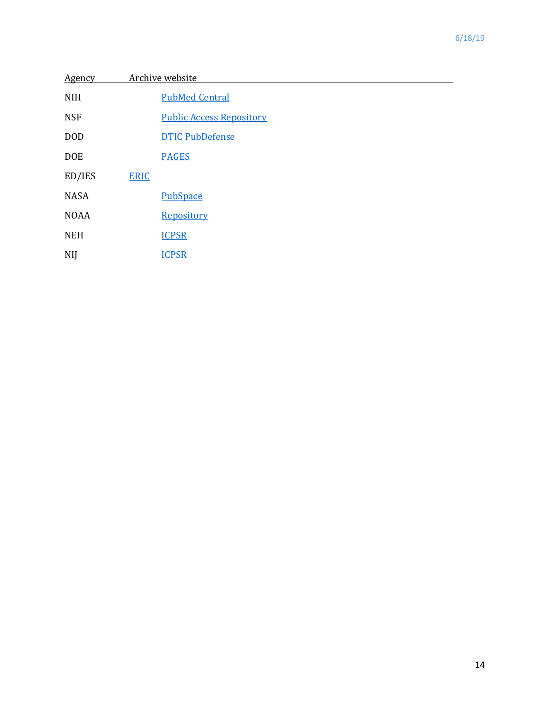| <b>Agency</b> |             | Archive website                 |
|---------------|-------------|---------------------------------|
| <b>NIH</b>    |             | <b>PubMed Central</b>           |
| <b>NSF</b>    |             | <b>Public Access Repository</b> |
| <b>DOD</b>    |             | <b>DTIC PubDefense</b>          |
| <b>DOE</b>    |             | <b>PAGES</b>                    |
| ED/IES        | <b>ERIC</b> |                                 |
| <b>NASA</b>   |             | <b>PubSpace</b>                 |
| <b>NOAA</b>   |             | Repository                      |
| <b>NEH</b>    |             | <b>ICPSR</b>                    |
| <b>NIJ</b>    |             | <b>ICPSR</b>                    |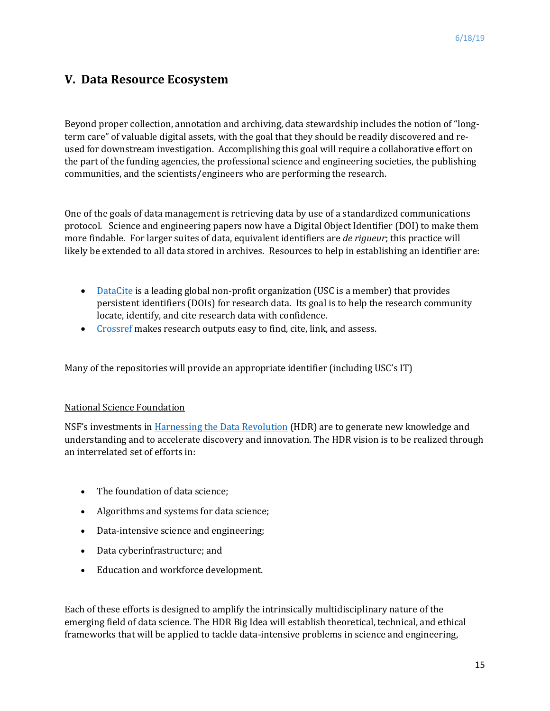### **V. Data Resource Ecosystem**

Beyond proper collection, annotation and archiving, data stewardship includes the notion of "longterm care" of valuable digital assets, with the goal that they should be readily discovered and reused for downstream investigation. Accomplishing this goal will require a collaborative effort on the part of the funding agencies, the professional science and engineering societies, the publishing communities, and the scientists/engineers who are performing the research.

One of the goals of data management is retrieving data by use of a standardized communications protocol. Science and engineering papers now have a Digital Object Identifier (DOI) to make them more findable. For larger suites of data, equivalent identifiers are *de rigueur*; this practice will likely be extended to all data stored in archives. Resources to help in establishing an identifier are:

- [DataCite](https://datacite.org/) is a leading global non-profit organization (USC is a member) that provides persistent identifiers (DOIs) for research data. Its goal is to help the research community locate, identify, and cite research data with confidence.
- [Crossref](https://www.crossref.org/) makes research outputs easy to find, cite, link, and assess.

Many of the repositories will provide an appropriate identifier (including USC's IT)

#### National Science Foundation

NSF's investments in [Harnessing the Data Revolution](https://www.nsf.gov/cise/harnessingdata/) (HDR) are to generate new knowledge and understanding and to accelerate discovery and innovation. The HDR vision is to be realized through an interrelated set of efforts in:

- The foundation of data science;
- Algorithms and systems for data science;
- Data-intensive science and engineering;
- Data cyberinfrastructure; and
- Education and workforce development.

Each of these efforts is designed to amplify the intrinsically multidisciplinary nature of the emerging field of data science. The HDR Big Idea will establish theoretical, technical, and ethical frameworks that will be applied to tackle data-intensive problems in science and engineering,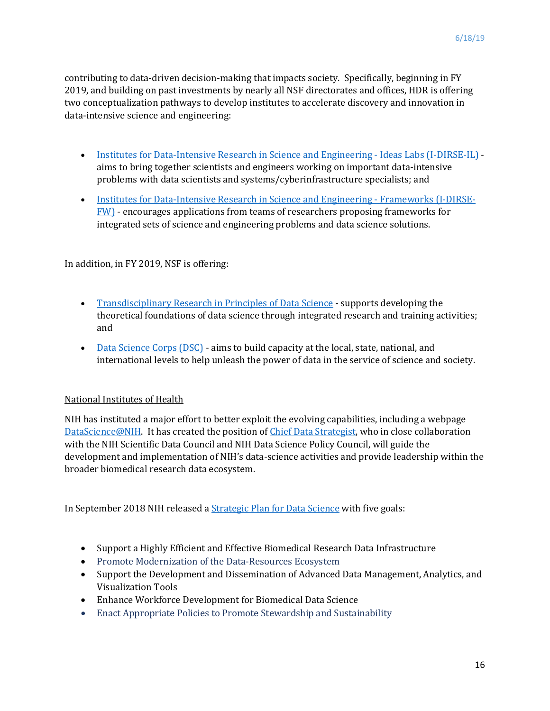contributing to data-driven decision-making that impacts society. Specifically, beginning in FY 2019, and building on past investments by nearly all NSF directorates and offices, HDR is offering two conceptualization pathways to develop institutes to accelerate discovery and innovation in data-intensive science and engineering:

- Institutes for [Data-Intensive Research in Science and Engineering -](https://www.nsf.gov/funding/pgm_summ.jsp?pims_id=505614) Ideas Labs (I-DIRSE-IL) aims to bring together scientists and engineers working on important data-intensive problems with data scientists and systems/cyberinfrastructure specialists; and
- [Institutes for Data-Intensive Research in Science and Engineering -](https://www.nsf.gov/funding/pgm_summ.jsp?pims_id=505631) Frameworks (I-DIRSE-[FW\)](https://www.nsf.gov/funding/pgm_summ.jsp?pims_id=505631) - encourages applications from teams of researchers proposing frameworks for integrated sets of science and engineering problems and data science solutions.

In addition, in FY 2019, NSF is offering:

- [Transdisciplinary Research in Principles of Data Science](https://www.nsf.gov/funding/pgm_summ.jsp?pims_id=505347) supports developing the theoretical foundations of data science through integrated research and training activities; and
- [Data Science Corps \(DSC\)](https://www.nsf.gov/funding/pgm_summ.jsp?pims_id=505536) aims to build capacity at the local, state, national, and international levels to help unleash the power of data in the service of science and society.

#### National Institutes of Health

NIH has instituted a major effort to better exploit the evolving capabilities, including a webpage [DataScience@NIH.](https://datascience.nih.gov/) It has created the position of [Chief Data Strategist,](https://datajobs.com/National-Institutes-of-Health/NIH-Chief-Data-Strategist-and-Director-Office-of-Data-Science-Strategy-Job%7E11904) who in close collaboration with the NIH Scientific Data Council and NIH Data Science Policy Council, will guide the development and implementation of NIH's data-science activities and provide leadership within the broader biomedical research data ecosystem.

In September 2018 NIH released [a Strategic Plan for Data Science](https://datascience.nih.gov/strategicplan) with five goals:

- Support a Highly Efficient and Effective Biomedical Research Data Infrastructure
- Promote Modernization of the Data-Resources Ecosystem
- Support the Development and Dissemination of Advanced Data Management, Analytics, and Visualization Tools
- Enhance Workforce Development for Biomedical Data Science
- Enact Appropriate Policies to Promote Stewardship and Sustainability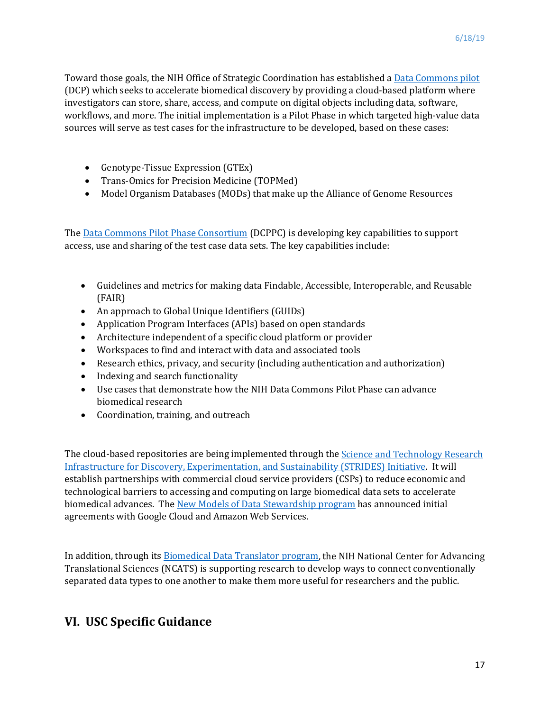Toward those goals, the NIH Office of Strategic Coordination has established a [Data Commons pilot](https://nihdatacommons.us/) (DCP) which seeks to accelerate biomedical discovery by providing a cloud-based platform where investigators can store, share, access, and compute on digital objects including data, software, workflows, and more. The initial implementation is a Pilot Phase in which targeted high-value data sources will serve as test cases for the infrastructure to be developed, based on these cases:

- Genotype-Tissue Expression (GTEx)
- Trans-Omics for Precision Medicine (TOPMed)
- Model Organism Databases (MODs) that make up the Alliance of Genome Resources

Th[e Data Commons Pilot](https://nihdatacommons.us/) Phase Consortium (DCPPC) is developing key capabilities to support access, use and sharing of the test case data sets. The key capabilities include:

- Guidelines and metrics for making data Findable, Accessible, Interoperable, and Reusable (FAIR)
- An approach to Global Unique Identifiers (GUIDs)
- Application Program Interfaces (APIs) based on open standards
- Architecture independent of a specific cloud platform or provider
- Workspaces to find and interact with data and associated tools
- Research ethics, privacy, and security (including authentication and authorization)
- Indexing and search functionality
- Use cases that demonstrate how the NIH Data Commons Pilot Phase can advance biomedical research
- Coordination, training, and outreach

The cloud-based repositories are being implemented through the **Science and Technology Research** [Infrastructure for Discovery, Experimentation, and Sustainability \(STRIDES\) Initiative.](https://commonfund.nih.gov/strides) It will establish partnerships with commercial cloud service providers (CSPs) to reduce economic and technological barriers to accessing and computing on large biomedical data sets to accelerate biomedical advances. The [New Models of Data Stewardship program](https://commonfund.nih.gov/data) has announced initial agreements with Google Cloud and Amazon Web Services.

In addition, through its [Biomedical Data Translator program,](https://ncats.nih.gov/translator/about) the NIH National Center for Advancing Translational Sciences (NCATS) is supporting research to develop ways to connect conventionally separated data types to one another to make them more useful for researchers and the public.

# **VI. USC Specific Guidance**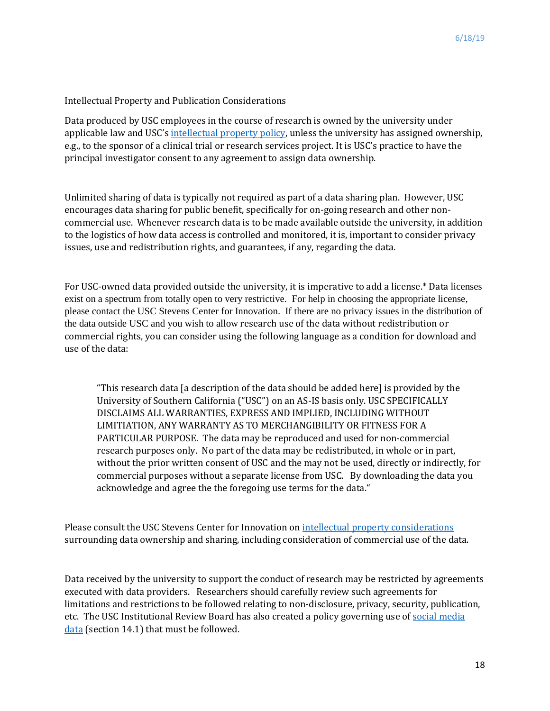#### Intellectual Property and Publication Considerations

Data produced by USC employees in the course of research is owned by the university under applicable law and USC's [intellectual property policy,](https://policy.usc.edu/files/2014/02/intellectual_property.pdf) unless the university has assigned ownership, e.g., to the sponsor of a clinical trial or research services project. It is USC's practice to have the principal investigator consent to any agreement to assign data ownership.

Unlimited sharing of data is typically not required as part of a data sharing plan. However, USC encourages data sharing for public benefit, specifically for on-going research and other noncommercial use. Whenever research data is to be made available outside the university, in addition to the logistics of how data access is controlled and monitored, it is, important to consider privacy issues, use and redistribution rights, and guarantees, if any, regarding the data.

For USC-owned data provided outside the university, it is imperative to add a license.\* Data licenses exist on a spectrum from totally open to very restrictive. For help in choosing the appropriate license, please contact the USC Stevens Center for Innovation. If there are no privacy issues in the distribution of the data outside USC and you wish to allow research use of the data without redistribution or commercial rights, you can consider using the following language as a condition for download and use of the data:

"This research data [a description of the data should be added here] is provided by the University of Southern California ("USC") on an AS-IS basis only. USC SPECIFICALLY DISCLAIMS ALL WARRANTIES, EXPRESS AND IMPLIED, INCLUDING WITHOUT LIMITIATION, ANY WARRANTY AS TO MERCHANGIBILITY OR FITNESS FOR A PARTICULAR PURPOSE. The data may be reproduced and used for non-commercial research purposes only. No part of the data may be redistributed, in whole or in part, without the prior written consent of USC and the may not be used, directly or indirectly, for commercial purposes without a separate license from USC. By downloading the data you acknowledge and agree the the foregoing use terms for the data."

Please consult the USC Stevens Center for Innovation on [intellectual property considerations](https://stevens.usc.edu/researchers/mta-cda/) surrounding data ownership and sharing, including consideration of commercial use of the data.

Data received by the university to support the conduct of research may be restricted by agreements executed with data providers. Researchers should carefully review such agreements for limitations and restrictions to be followed relating to non-disclosure, privacy, security, publication, etc. The USC Institutional Review Board has also created a policy governing use of social media [data](https://oprs.usc.edu/files/2019/02/USC-HSPP-Policies-and-Procedures-2019-ver-17-JAN-2019.pdf) (section 14.1) that must be followed.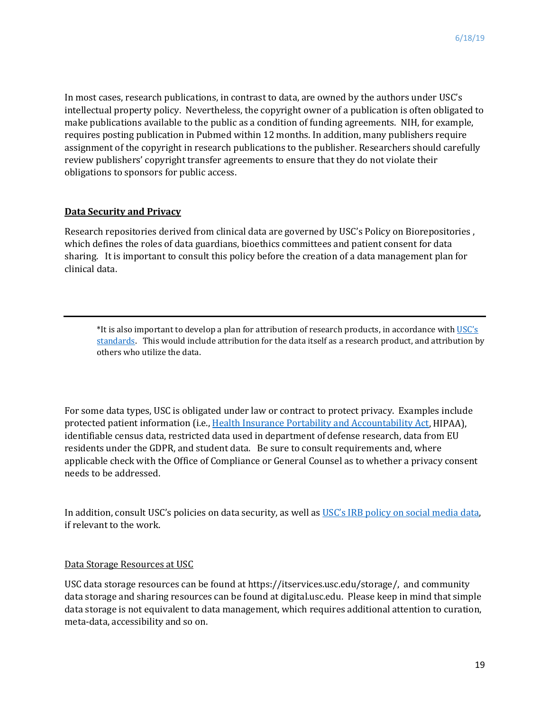In most cases, research publications, in contrast to data, are owned by the authors under USC's intellectual property policy. Nevertheless, the copyright owner of a publication is often obligated to make publications available to the public as a condition of funding agreements. NIH, for example, requires posting publication in Pubmed within 12 months. In addition, many publishers require assignment of the copyright in research publications to the publisher. Researchers should carefully review publishers' copyright transfer agreements to ensure that they do not violate their obligations to sponsors for public access.

#### **Data Security and Privacy**

Research repositories derived from clinical data are governed by USC's Policy on Biorepositories , which defines the roles of data guardians, bioethics committees and patient consent for data sharing. It is important to consult this policy before the creation of a data management plan for clinical data.

\*It is also important to develop a plan for attribution of research products, in accordance with [USC's](https://academicsenate.usc.edu/files/2015/08/URC-on-Authorship-and-Attribution.pdf)  [standards.](https://academicsenate.usc.edu/files/2015/08/URC-on-Authorship-and-Attribution.pdf) This would include attribution for the data itself as a research product, and attribution by others who utilize the data.

For some data types, USC is obligated under law or contract to protect privacy. Examples include protected patient information (i.e.[, Health Insurance Portability and Accountability Act,](https://oprs.usc.edu/policies-and-procedures/hipaa/) HIPAA), identifiable census data, restricted data used in department of defense research, data from EU residents under the GDPR, and student data. Be sure to consult requirements and, where applicable check with the Office of Compliance or General Counsel as to whether a privacy consent needs to be addressed.

In addition, consult USC's policies on data security, as well as [USC's IRB policy on social media data,](https://oprs.usc.edu/files/2019/02/USC-HSPP-Policies-and-Procedures-2019-ver-17-JAN-2019.pdf)  if relevant to the work.

#### Data Storage Resources at USC

USC data storage resources can be found at https://itservices.usc.edu/storage/, and community data storage and sharing resources can be found at digital.usc.edu. Please keep in mind that simple data storage is not equivalent to data management, which requires additional attention to curation, meta-data, accessibility and so on.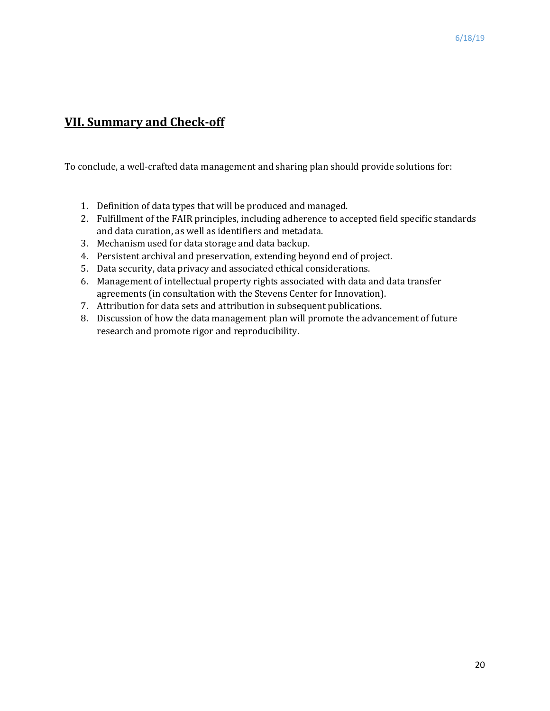# **VII. Summary and Check-off**

To conclude, a well-crafted data management and sharing plan should provide solutions for:

- 1. Definition of data types that will be produced and managed.
- 2. Fulfillment of the FAIR principles, including adherence to accepted field specific standards and data curation, as well as identifiers and metadata.
- 3. Mechanism used for data storage and data backup.
- 4. Persistent archival and preservation, extending beyond end of project.
- 5. Data security, data privacy and associated ethical considerations.
- 6. Management of intellectual property rights associated with data and data transfer agreements (in consultation with the Stevens Center for Innovation).
- 7. Attribution for data sets and attribution in subsequent publications.
- 8. Discussion of how the data management plan will promote the advancement of future research and promote rigor and reproducibility.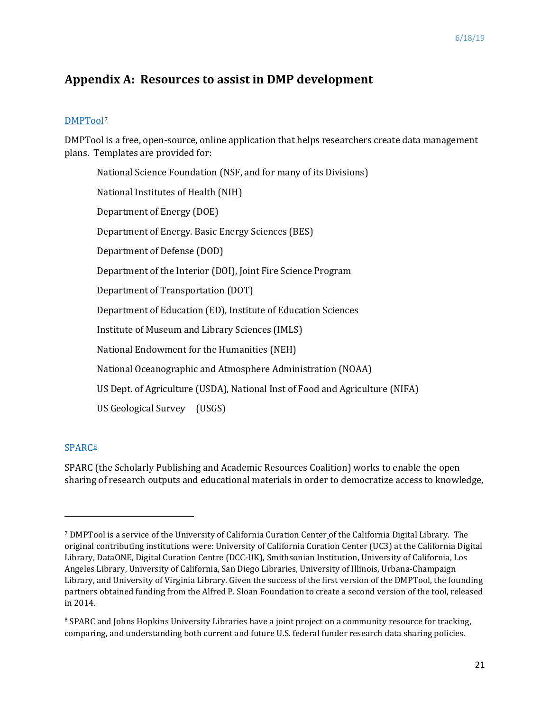### **Appendix A: Resources to assist in DMP development**

#### [DMPTool](https://dmptool.org/)<sub>2</sub>

DMPTool is a free, open-source, online application that helps researchers create data management plans. Templates are provided for:

National Science Foundation (NSF, and for many of its Divisions) National Institutes of Health (NIH) Department of Energy (DOE) Department of Energy. Basic Energy Sciences (BES) Department of Defense (DOD) Department of the Interior (DOI), Joint Fire Science Program Department of Transportation (DOT) Department of Education (ED), Institute of Education Sciences Institute of Museum and Library Sciences (IMLS) National Endowment for the Humanities (NEH) National Oceanographic and Atmosphere Administration (NOAA) US Dept. of Agriculture (USDA), National Inst of Food and Agriculture (NIFA) US Geological Survey (USGS)

#### **[SPARC](https://sparcopen.org/)<sup>[8](#page-20-1)</sup>**

 $\overline{\phantom{a}}$ 

SPARC (the Scholarly Publishing and Academic Resources Coalition) works to enable the open sharing of research outputs and educational materials in order to democratize access to knowledge,

<span id="page-20-0"></span><sup>7</sup> DMPTool is a service of the University of California Curation Center of the California Digital Library. The original contributing institutions were: University of California Curation Center (UC3) at the California Digital Library, DataONE, Digital Curation Centre (DCC-UK), Smithsonian Institution, University of California, Los Angeles Library, University of California, San Diego Libraries, University of Illinois, Urbana-Champaign Library, and University of Virginia Library. Given the success of the first version of the DMPTool, the founding partners obtained funding from the Alfred P. Sloan Foundation to create a second version of the tool, released in 2014.

<span id="page-20-1"></span><sup>&</sup>lt;sup>8</sup> SPARC and Johns Hopkins University Libraries have a joint project on a community resource for tracking, comparing, and understanding both current and future U.S. federal funder research data sharing policies.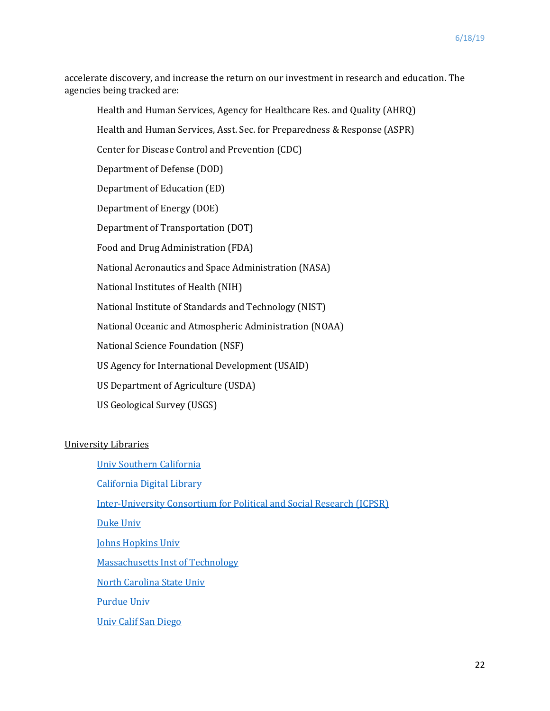accelerate discovery, and increase the return on our investment in research and education. The agencies being tracked are:

Health and Human Services, Agency for Healthcare Res. and Quality (AHRQ) Health and Human Services, Asst. Sec. for Preparedness & Response (ASPR) Center for Disease Control and Prevention (CDC) Department of Defense (DOD) Department of Education (ED) Department of Energy (DOE) Department of Transportation (DOT) Food and Drug Administration (FDA) National Aeronautics and Space Administration (NASA) National Institutes of Health (NIH) National Institute of Standards and Technology (NIST) National Oceanic and Atmospheric Administration (NOAA) National Science Foundation (NSF) US Agency for International Development (USAID) US Department of Agriculture (USDA) US Geological Survey (USGS)

#### University Libraries

[Univ Southern California](http://libguides.usc.edu.au/c.php?g=508408&p=3478040) [California Digital Library](https://www.cni.org/news/california-digital-library-gets-nsf-grant-for-actionable-data-management-plans) [Inter-University Consortium for Political and Social Research \(ICPSR\)](https://www.icpsr.umich.edu/icpsrweb/content/membership/index.html)  [Duke Univ](https://library.duke.edu/data/data-management/) [Johns Hopkins Univ](https://dms.data.jhu.edu/) [Massachusetts Inst of Technology](https://libraries.mit.edu/data-management/) [North Carolina State Univ](https://www.lib.ncsu.edu/data-management/how_to_dmp) [Purdue Univ](http://guides.lib.purdue.edu/c.php?g=353298&p=2378640) [Univ Calif San Diego](https://libraries.ucsd.edu/research-and-collections/data-curation/dmp-samples.html)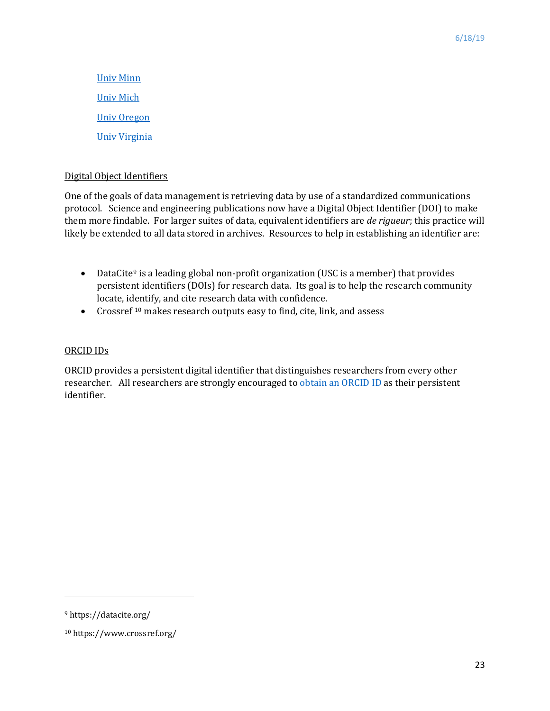[Univ Minn](https://www.lib.umn.edu/datamanagement/DMP) [Univ Mich](https://guides.lib.umich.edu/engin-dmp) [Univ Oregon](https://library.uoregon.edu/research-data-management) [Univ Virginia](https://data.library.virginia.edu/data-management/)

#### Digital Object Identifiers

One of the goals of data management is retrieving data by use of a standardized communications protocol. Science and engineering publications now have a Digital Object Identifier (DOI) to make them more findable. For larger suites of data, equivalent identifiers are *de rigueur*; this practice will likely be extended to all data stored in archives. Resources to help in establishing an identifier are:

- DataCite<sup>[9](#page-22-0)</sup> is a leading global non-profit organization (USC is a member) that provides persistent identifiers (DOIs) for research data. Its goal is to help the research community locate, identify, and cite research data with confidence.
- Crossref<sup>[10](#page-22-1)</sup> makes research outputs easy to find, cite, link, and assess

#### ORCID IDs

ORCID provides a persistent digital identifier that distinguishes researchers from every other researcher. All researchers are strongly encouraged to [obtain an ORCID ID](file:///%5C%5Cusers%5Cjmurday%5CLibrary%5CContainers%5Ccom.apple.mail%5CData%5CLibrary%5CMail%20Downloads%5CEF4EA3EB-BF84-485E-9908-D9B395585DA5%5CORCID%20provides%20a%20persistent%20digital%20identifier%20that%20distinguishes%20you%20from%20every%20other%20researcher%20and,%20through%20integration%20in%20key%20research%20workflows%20such%20as%20manuscript%20and%20grant%20submission,%20supports%20automated%20linkages%20between%20you%20and%20your%20professional%20activities%20ensuring%20that%20your%20work%20is%20recognized.%20Find%20out%20more) as their persistent identifier.

l

<span id="page-22-0"></span><sup>9</sup> https://datacite.org/

<span id="page-22-1"></span><sup>10</sup> https://www.crossref.org/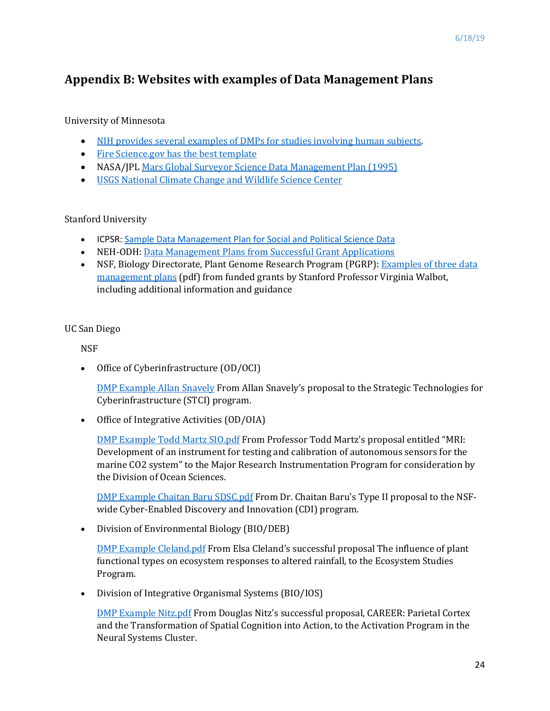# **Appendix B: Websites with examples of Data Management Plans**

#### University of Minnesota

- [NIH provides several examples of DMPs for studies involving human subjects.](http://grants.nih.gov/grants/policy/data_sharing/data_sharing_guidance.htm#ex)
- [Fire Science.gov has the best template](http://www.firescience.gov/AFPs/16-1-01/16-1-01_Data_management_plan_template.doc)
- NASA/JPL [Mars Global Surveyor Science Data Management Plan \(1995\)](http://www.msss.com/mars_images/moc/mgssdmp.html)
- [USGS National Climate Change and Wildlife Science Center](https://nccwsc.usgs.gov/?q=content/data-policies-and-guidance)

#### Stanford University

- ICPSR: [Sample Data Management Plan for Social and Political Science Data](http://www.icpsr.umich.edu/icpsrweb/content/datamanagement/dmp/plan.html)
- NEH-ODH: [Data Management Plans from Successful Grant Applications](http://www.neh.gov/divisions/odh/grant-news/data-management-plans-successful-grant-applications-2011-2014-now-available)
- NSF, Biology Directorate, Plant Genome Research Program (PGRP): Examples of three data [management plans](https://stanford.box.com/shared/static/2jo7mtlgutjyf5z8yz39.pdf) (pdf) from funded grants by Stanford Professor Virginia Walbot, including additional information and guidance

#### UC San Diego

**NSF** 

• Office of Cyberinfrastructure (OD/OCI)

[DMP Example Allan Snavely](https://libraries.ucsd.edu/research-and-collections/data-curation/_files/dmpsample/DMP-Example-Allan-Snavely.doc) From Allan Snavely's proposal to the Strategic Technologies for Cyberinfrastructure (STCI) program.

• Office of Integrative Activities (OD/OIA)

[DMP Example Todd Martz SIO.pdf](https://libraries.ucsd.edu/research-and-collections/data-curation/_files/dmpsample/DMP-Example-Todd-Martz-SIO.pdf) From Professor Todd Martz's proposal entitled "MRI: Development of an instrument for testing and calibration of autonomous sensors for the marine CO2 system" to the Major Research Instrumentation Program for consideration by the Division of Ocean Sciences.

[DMP Example Chaitan Baru SDSC.pdf](https://libraries.ucsd.edu/research-and-collections/data-curation/_files/dmpsample/DMP-Example-Chaitan-Baru-SDSC.pdf) From Dr. Chaitan Baru's Type II proposal to the NSFwide Cyber-Enabled Discovery and Innovation (CDI) program.

• Division of Environmental Biology (BIO/DEB)

[DMP Example Cleland.pdf](https://libraries.ucsd.edu/research-and-collections/data-curation/_files/dmpsample/DMP-Example-Cleland.pdf) From Elsa Cleland's successful proposal The influence of plant functional types on ecosystem responses to altered rainfall, to the Ecosystem Studies Program.

• Division of Integrative Organismal Systems (BIO/IOS)

[DMP Example Nitz.pdf](https://libraries.ucsd.edu/research-and-collections/data-curation/_files/dmpsample/DMP-Example-Nitz.pdf) From Douglas Nitz's successful proposal, CAREER: Parietal Cortex and the Transformation of Spatial Cognition into Action, to the Activation Program in the Neural Systems Cluster.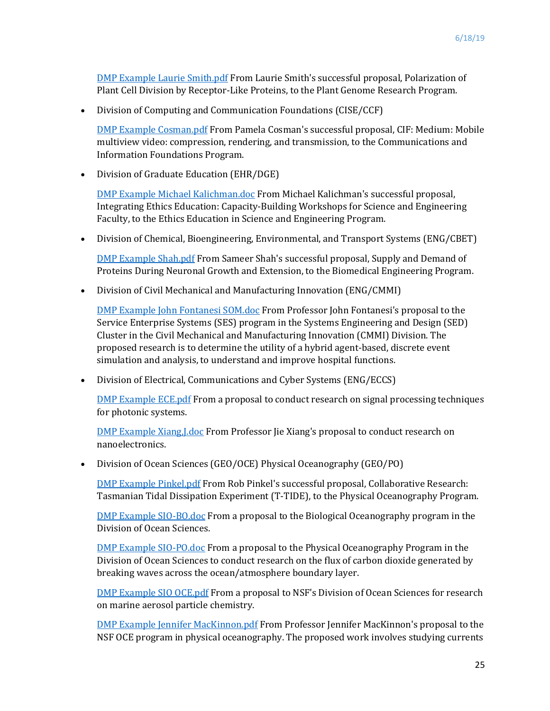[DMP Example Laurie Smith.pdf](https://libraries.ucsd.edu/research-and-collections/data-curation/_files/dmpsample/DMP-Example-Laurie-Smith.pdf) From Laurie Smith's successful proposal, Polarization of Plant Cell Division by Receptor-Like Proteins, to the Plant Genome Research Program.

• Division of Computing and Communication Foundations (CISE/CCF)

[DMP Example Cosman.pdf](https://libraries.ucsd.edu/research-and-collections/data-curation/_files/dmpsample/DMP-Example-Cosman.pdf) From Pamela Cosman's successful proposal, CIF: Medium: Mobile multiview video: compression, rendering, and transmission, to the Communications and Information Foundations Program.

• Division of Graduate Education (EHR/DGE)

[DMP Example Michael Kalichman.doc](https://libraries.ucsd.edu/research-and-collections/data-curation/_files/dmpsample/DMP-Example-Michael-Kalichman.doc) From Michael Kalichman's successful proposal, Integrating Ethics Education: Capacity-Building Workshops for Science and Engineering Faculty, to the Ethics Education in Science and Engineering Program.

• Division of Chemical, Bioengineering, Environmental, and Transport Systems (ENG/CBET)

[DMP Example Shah.pdf](https://libraries.ucsd.edu/research-and-collections/data-curation/_files/dmpsample/DMP-Example-Shah.pdf) From Sameer Shah's successful proposal, Supply and Demand of Proteins During Neuronal Growth and Extension, to the Biomedical Engineering Program.

• Division of Civil Mechanical and Manufacturing Innovation (ENG/CMMI)

[DMP Example John Fontanesi SOM.doc](https://libraries.ucsd.edu/research-and-collections/data-curation/_files/dmpsample/DMP-Example-John-Fontanesi-SOM.doc) From Professor John Fontanesi's proposal to the Service Enterprise Systems (SES) program in the Systems Engineering and Design (SED) Cluster in the Civil Mechanical and Manufacturing Innovation (CMMI) Division. The proposed research is to determine the utility of a hybrid agent-based, discrete event simulation and analysis, to understand and improve hospital functions.

• Division of Electrical, Communications and Cyber Systems (ENG/ECCS)

[DMP Example ECE.pdf](https://libraries.ucsd.edu/research-and-collections/data-curation/_files/dmpsample/DMP-Example-ECE.pdf) From a proposal to conduct research on signal processing techniques for photonic systems.

[DMP Example Xiang,J.doc](https://libraries.ucsd.edu/research-and-collections/data-curation/_files/dmpsample/DMP-Example-Xiang-J.doc) From Professor Jie Xiang's proposal to conduct research on nanoelectronics.

• Division of Ocean Sciences (GEO/OCE) Physical Oceanography (GEO/PO)

[DMP Example Pinkel.pdf](https://libraries.ucsd.edu/research-and-collections/data-curation/_files/dmpsample/DMP-Example-Pinkel.pdf) From Rob Pinkel's successful proposal, Collaborative Research: Tasmanian Tidal Dissipation Experiment (T-TIDE), to the Physical Oceanography Program.

[DMP Example SIO-BO.doc](https://libraries.ucsd.edu/research-and-collections/data-curation/_files/dmpsample/DMP-Example-SIO-BO.doc) From a proposal to the Biological Oceanography program in the Division of Ocean Sciences.

[DMP Example SIO-PO.doc](https://libraries.ucsd.edu/research-and-collections/data-curation/_files/dmpsample/DMP-Example-SIO-PO.doc) From a proposal to the Physical Oceanography Program in the Division of Ocean Sciences to conduct research on the flux of carbon dioxide generated by breaking waves across the ocean/atmosphere boundary layer.

[DMP Example SIO OCE.pdf](https://libraries.ucsd.edu/research-and-collections/data-curation/_files/dmpsample/DMP-Example-SIO-OCE.pdf) From a proposal to NSF's Division of Ocean Sciences for research on marine aerosol particle chemistry.

[DMP Example Jennifer MacKinnon.pdf](https://libraries.ucsd.edu/research-and-collections/data-curation/_files/dmpsample/DMP-Example-Jennifer-MacKinnon.pdf) From Professor Jennifer MacKinnon's proposal to the NSF OCE program in physical oceanography. The proposed work involves studying currents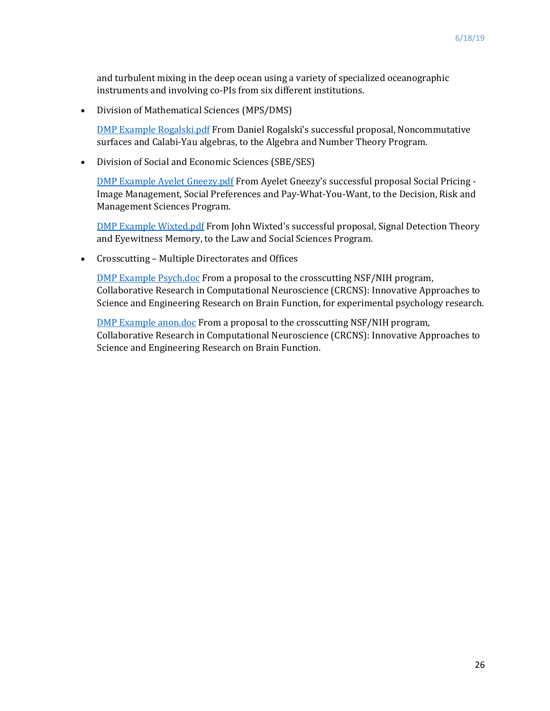and turbulent mixing in the deep ocean using a variety of specialized oceanographic instruments and involving co-PIs from six different institutions.

• Division of Mathematical Sciences (MPS/DMS)

[DMP Example Rogalski.pdf](https://libraries.ucsd.edu/research-and-collections/data-curation/_files/dmpsample/DMP-Example-Rogalski.pdf) From Daniel Rogalski's successful proposal, Noncommutative surfaces and Calabi-Yau algebras, to the Algebra and Number Theory Program.

• Division of Social and Economic Sciences (SBE/SES)

[DMP Example Ayelet Gneezy.pdf](https://libraries.ucsd.edu/research-and-collections/data-curation/_files/dmpsample/DMP-Example-Ayelet-Gneezy.pdf) From Ayelet Gneezy's successful proposal Social Pricing - Image Management, Social Preferences and Pay-What-You-Want, to the Decision, Risk and Management Sciences Program.

[DMP Example Wixted.pdf](https://libraries.ucsd.edu/research-and-collections/data-curation/_files/dmpsample/DMP-Example-Wixted.pdf) From John Wixted's successful proposal, Signal Detection Theory and Eyewitness Memory, to the Law and Social Sciences Program.

• Crosscutting – Multiple Directorates and Offices

[DMP Example Psych.doc](https://libraries.ucsd.edu/research-and-collections/data-curation/_files/dmpsample/DMP-Example-Psych.doc) From a proposal to the crosscutting NSF/NIH program, Collaborative Research in Computational Neuroscience (CRCNS): Innovative Approaches to Science and Engineering Research on Brain Function, for experimental psychology research.

[DMP Example anon.doc](https://libraries.ucsd.edu/research-and-collections/data-curation/_files/dmpsample/DMP-Example-anon.doc) From a proposal to the crosscutting NSF/NIH program, Collaborative Research in Computational Neuroscience (CRCNS): Innovative Approaches to Science and Engineering Research on Brain Function.